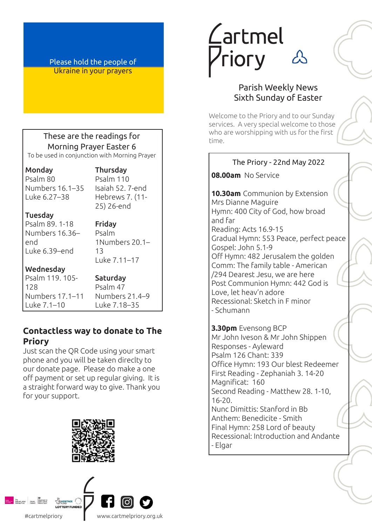Please hold the people of Ukraine in your prayers

# These are the readings for Morning Prayer Easter 6

To be used in conjunction with Morning Prayer

Monday Psalm 80 Numbers 16.1–35 Luke 6.27–38

#### Thursday Psalm 110 Isaiah 52. 7-end

Hebrews 7. (11- 25) 26-end

#### Tuesday

Psalm 89. 1-18 Numbers 16.36– end Luke 6.39–end

Friday Psalm 1Numbers 20.1– 13 Luke 7.11–17

### Wednesday

Psalm 119. 105- 128 Numbers 17.1–11 Luke 7.1–10

Saturday Psalm 47 Numbers 21.4–9 Luke 7.18–35

# **Contactless way to donate to The Priory**

Just scan the QR Code using your smart phone and you will be taken direclty to our donate page. Please do make a one off payment or set up regular giving. It is a straight forward way to give. Thank you for your support.





# *Lartmel* **Priory**



# Parish Weekly News Sixth Sunday of Easter

Welcome to the Priory and to our Sunday services. A very special welcome to those who are worshipping with us for the first time.

#### **08.00am** No Service The Priory - 22nd May 2022

**10.30am** Communion by Extension Mrs Dianne Maguire Hymn: 400 City of God, how broad and far Reading: Acts 16.9-15 Gradual Hymn: 553 Peace, perfect peace Gospel: John 5.1-9 Off Hymn: 482 Jerusalem the golden Comm: The family table - American /294 Dearest Jesu, we are here Post Communion Hymn: 442 God is Love, let heav'n adore Recessional: Sketch in F minor - Schumann

**3.30pm** Evensong BCP Mr John Iveson & Mr John Shippen Responses - Ayleward Psalm 126 Chant: 339 Office Hymn: 193 Our blest Redeemer First Reading - Zephaniah 3. 14-20 Magnificat: 160 Second Reading - Matthew 28. 1-10, 16-20. Nunc Dimittis: Stanford in Bb

Anthem: Benedicite - Smith Final Hymn: 258 Lord of beauty Recessional: Introduction and Andante - Elgar